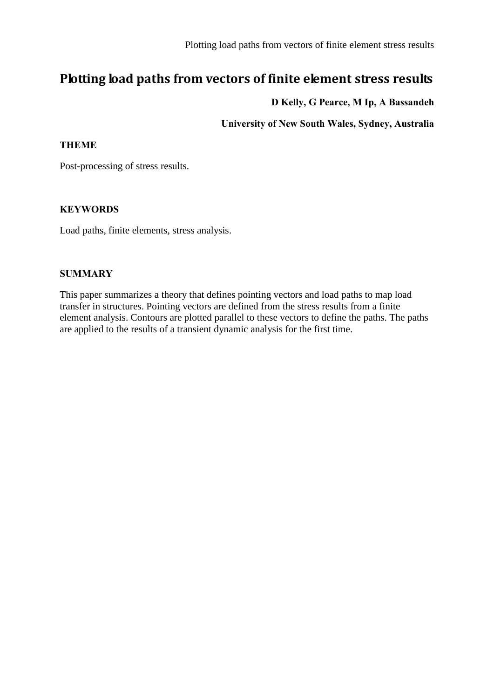# **Plotting load paths from vectors of finite element stress results**

### **D Kelly, G Pearce, M Ip, A Bassandeh**

**University of New South Wales, Sydney, Australia**

#### **THEME**

Post-processing of stress results.

#### **KEYWORDS**

Load paths, finite elements, stress analysis.

#### **SUMMARY**

This paper summarizes a theory that defines pointing vectors and load paths to map load transfer in structures. Pointing vectors are defined from the stress results from a finite element analysis. Contours are plotted parallel to these vectors to define the paths. The paths are applied to the results of a transient dynamic analysis for the first time.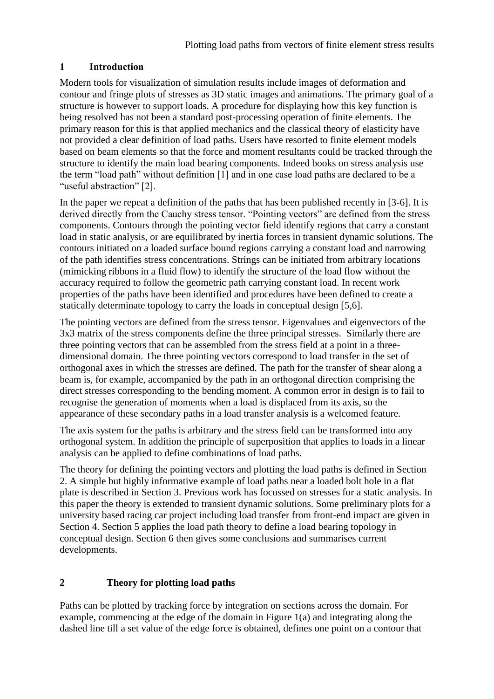## **1 Introduction**

Modern tools for visualization of simulation results include images of deformation and contour and fringe plots of stresses as 3D static images and animations. The primary goal of a structure is however to support loads. A procedure for displaying how this key function is being resolved has not been a standard post-processing operation of finite elements. The primary reason for this is that applied mechanics and the classical theory of elasticity have not provided a clear definition of load paths. Users have resorted to finite element models based on beam elements so that the force and moment resultants could be tracked through the structure to identify the main load bearing components. Indeed books on stress analysis use the term "load path" without definition [1] and in one case load paths are declared to be a "useful abstraction" [2].

In the paper we repeat a definition of the paths that has been published recently in [3-6]. It is derived directly from the Cauchy stress tensor. "Pointing vectors" are defined from the stress components. Contours through the pointing vector field identify regions that carry a constant load in static analysis, or are equilibrated by inertia forces in transient dynamic solutions. The contours initiated on a loaded surface bound regions carrying a constant load and narrowing of the path identifies stress concentrations. Strings can be initiated from arbitrary locations (mimicking ribbons in a fluid flow) to identify the structure of the load flow without the accuracy required to follow the geometric path carrying constant load. In recent work properties of the paths have been identified and procedures have been defined to create a statically determinate topology to carry the loads in conceptual design [5,6].

The pointing vectors are defined from the stress tensor. Eigenvalues and eigenvectors of the 3x3 matrix of the stress components define the three principal stresses. Similarly there are three pointing vectors that can be assembled from the stress field at a point in a threedimensional domain. The three pointing vectors correspond to load transfer in the set of orthogonal axes in which the stresses are defined. The path for the transfer of shear along a beam is, for example, accompanied by the path in an orthogonal direction comprising the direct stresses corresponding to the bending moment. A common error in design is to fail to recognise the generation of moments when a load is displaced from its axis, so the appearance of these secondary paths in a load transfer analysis is a welcomed feature.

The axis system for the paths is arbitrary and the stress field can be transformed into any orthogonal system. In addition the principle of superposition that applies to loads in a linear analysis can be applied to define combinations of load paths.

The theory for defining the pointing vectors and plotting the load paths is defined in Section 2. A simple but highly informative example of load paths near a loaded bolt hole in a flat plate is described in Section 3. Previous work has focussed on stresses for a static analysis. In this paper the theory is extended to transient dynamic solutions. Some preliminary plots for a university based racing car project including load transfer from front-end impact are given in Section 4. Section 5 applies the load path theory to define a load bearing topology in conceptual design. Section 6 then gives some conclusions and summarises current developments.

## **2 Theory for plotting load paths**

Paths can be plotted by tracking force by integration on sections across the domain. For example, commencing at the edge of the domain in Figure 1(a) and integrating along the dashed line till a set value of the edge force is obtained, defines one point on a contour that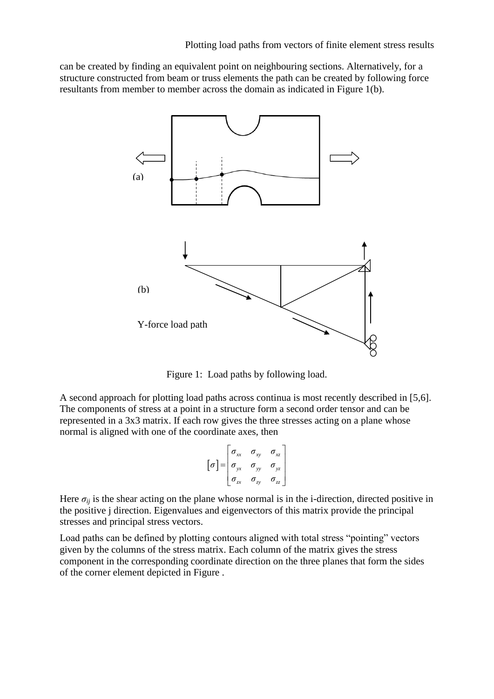can be created by finding an equivalent point on neighbouring sections. Alternatively, for a structure constructed from beam or truss elements the path can be created by following force resultants from member to member across the domain as indicated in Figure 1(b).



Figure 1: Load paths by following load.

A second approach for plotting load paths across continua is most recently described in [5,6]. The components of stress at a point in a structure form a second order tensor and can be represented in a 3x3 matrix. If each row gives the three stresses acting on a plane whose normal is aligned with one of the coordinate axes, then

$$
\[\sigma\] = \begin{bmatrix} \sigma_{xx} & \sigma_{xy} & \sigma_{xz} \\ \sigma_{yx} & \sigma_{yy} & \sigma_{yz} \\ \sigma_{zx} & \sigma_{zy} & \sigma_{zz} \end{bmatrix}
$$

Here  $\sigma_{ij}$  is the shear acting on the plane whose normal is in the i-direction, directed positive in the positive j direction. Eigenvalues and eigenvectors of this matrix provide the principal stresses and principal stress vectors.

Load paths can be defined by plotting contours aligned with total stress "pointing" vectors given by the columns of the stress matrix. Each column of the matrix gives the stress component in the corresponding coordinate direction on the three planes that form the sides of the corner element depicted in [Figure .](#page-3-0)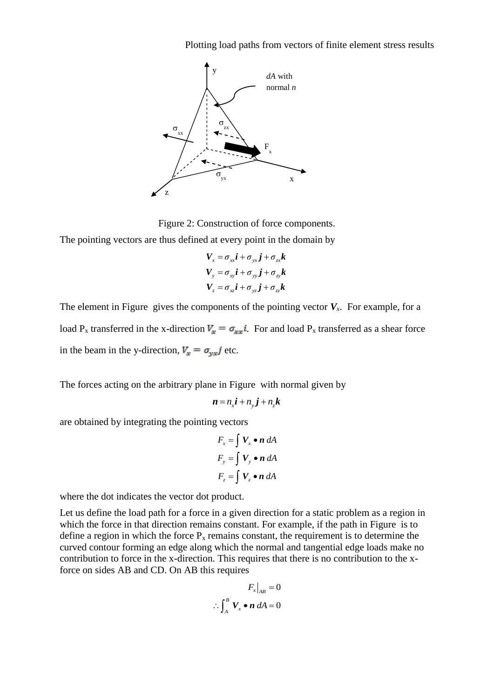Plotting load paths from vectors of finite element stress results



Figure 2: Construction of force components.

<span id="page-3-0"></span>The pointing vectors are thus defined at every point in the domain by

$$
V_x = \sigma_{xx} \mathbf{i} + \sigma_{yx} \mathbf{j} + \sigma_{zx} \mathbf{k}
$$
  
\n
$$
V_y = \sigma_{xy} \mathbf{i} + \sigma_{yy} \mathbf{j} + \sigma_{zy} \mathbf{k}
$$
  
\n
$$
V_z = \sigma_{xz} \mathbf{i} + \sigma_{yz} \mathbf{j} + \sigma_{zx} \mathbf{k}
$$

The element in [Figure](#page-3-0) gives the components of the pointing vector  $V_x$ . For example, for a load P<sub>x</sub> transferred in the x-direction  $V_x = \sigma_{xx} i$ . For and load P<sub>x</sub> transferred as a shear force in the beam in the y-direction,  $V_x = \sigma_{vx} j$  etc.

The forces acting on the arbitrary plane in [Figure](#page-3-0) with normal given by

$$
\boldsymbol{n} = n_x \boldsymbol{i} + n_y \boldsymbol{j} + n_z \boldsymbol{k}
$$

are obtained by integrating the pointing vectors

$$
F_x = \int V_x \bullet n \, dA
$$
  

$$
F_y = \int V_y \bullet n \, dA
$$
  

$$
F_z = \int V_z \bullet n \, dA
$$

where the dot indicates the vector dot product.

Let us define the load path for a force in a given direction for a static problem as a region in which the force in that direction remains constant. For example, if the path in [Figure](#page-4-0) is to define a region in which the force  $P_x$  remains constant, the requirement is to determine the curved contour forming an edge along which the normal and tangential edge loads make no contribution to force in the x-direction. This requires that there is no contribution to the xforce on sides AB and CD. On AB this requires

$$
F_x\big|_{AB} = 0
$$
  

$$
\therefore \int_A^B \mathbf{V}_x \bullet \mathbf{n} \ dA = 0
$$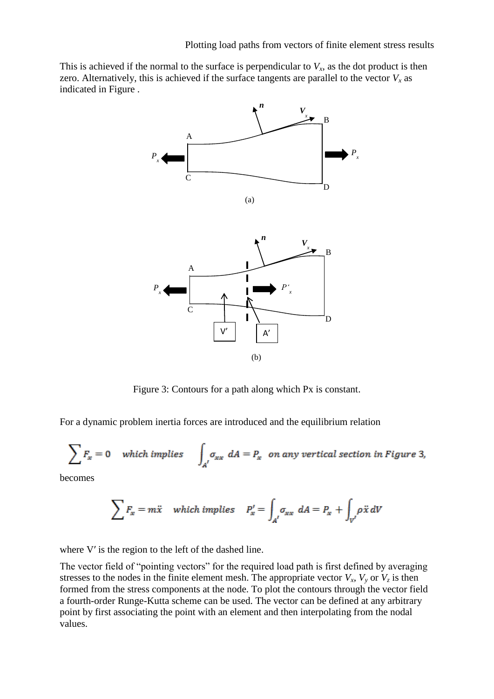This is achieved if the normal to the surface is perpendicular to  $V_x$ , as the dot product is then zero. Alternatively, this is achieved if the surface tangents are parallel to the vector  $V_x$  as indicated in [Figure .](#page-4-0)



Figure 3: Contours for a path along which Px is constant.

<span id="page-4-0"></span>For a dynamic problem inertia forces are introduced and the equilibrium relation

$$
\sum F_x = 0 \quad \text{which implies} \quad \int_{A'} \sigma_{xx} \ dA = P_x \quad \text{on any vertical section in Figure 3,}
$$

becomes

$$
\sum F_x = m\ddot{x} \quad \text{which implies} \quad P'_x = \int_{A'} \sigma_{xx} \ dA = P_x + \int_{V'} \rho \ddot{x} \ dV
$$

where V' is the region to the left of the dashed line.

The vector field of "pointing vectors" for the required load path is first defined by averaging stresses to the nodes in the finite element mesh. The appropriate vector  $V_x$ ,  $V_y$  or  $V_z$  is then formed from the stress components at the node. To plot the contours through the vector field a fourth-order Runge-Kutta scheme can be used. The vector can be defined at any arbitrary point by first associating the point with an element and then interpolating from the nodal values.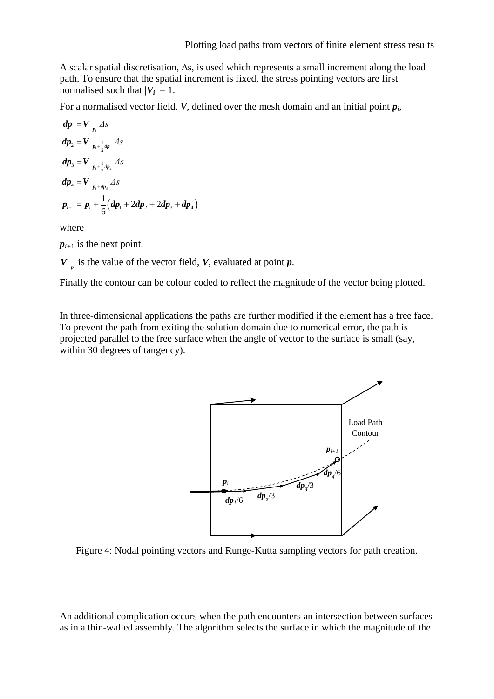A scalar spatial discretisation,  $\Delta s$ , is used which represents a small increment along the load path. To ensure that the spatial increment is fixed, the stress pointing vectors are first normalised such that  $|V_i| = 1$ .

For a normalised vector field, *V*, defined over the mesh domain and an initial point *p<sup>i</sup>* ,

$$
dp_1 = V\Big|_{p_i} \Delta s
$$
  
\n
$$
dp_2 = V\Big|_{p_i + \frac{1}{2}dp_i} \Delta s
$$
  
\n
$$
dp_3 = V\Big|_{p_i + \frac{1}{2}dp_2} \Delta s
$$
  
\n
$$
dp_4 = V\Big|_{p_i + dp_3} \Delta s
$$
  
\n
$$
p_{i+1} = p_i + \frac{1}{6}(dp_1 + 2dp_2 + 2dp_3 + dp_4)
$$

where

 $p_{i+1}$  is the next point.

 $V|_p$  is the value of the vector field, *V*, evaluated at point *p*.

Finally the contour can be colour coded to reflect the magnitude of the vector being plotted.

In three-dimensional applications the paths are further modified if the element has a free face. To prevent the path from exiting the solution domain due to numerical error, the path is projected parallel to the free surface when the angle of vector to the surface is small (say, within 30 degrees of tangency).



Figure 4: Nodal pointing vectors and Runge-Kutta sampling vectors for path creation.

An additional complication occurs when the path encounters an intersection between surfaces as in a thin-walled assembly. The algorithm selects the surface in which the magnitude of the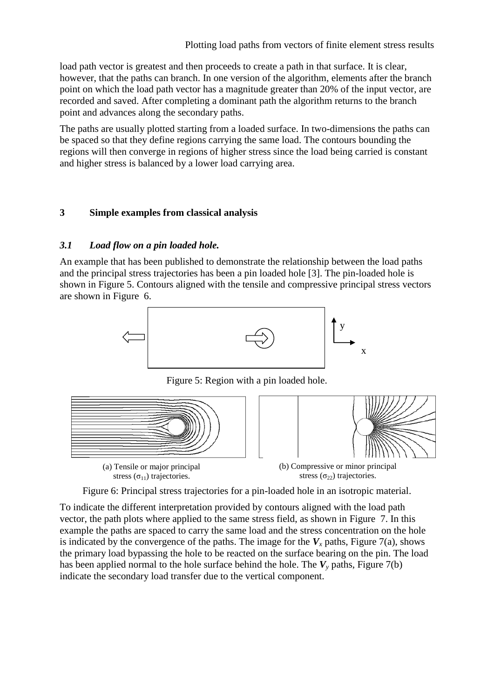load path vector is greatest and then proceeds to create a path in that surface. It is clear, however, that the paths can branch. In one version of the algorithm, elements after the branch point on which the load path vector has a magnitude greater than 20% of the input vector, are recorded and saved. After completing a dominant path the algorithm returns to the branch point and advances along the secondary paths.

The paths are usually plotted starting from a loaded surface. In two-dimensions the paths can be spaced so that they define regions carrying the same load. The contours bounding the regions will then converge in regions of higher stress since the load being carried is constant and higher stress is balanced by a lower load carrying area.

### **3 Simple examples from classical analysis**

#### *3.1 Load flow on a pin loaded hole.*

An example that has been published to demonstrate the relationship between the load paths and the principal stress trajectories has been a pin loaded hole [3]. The pin-loaded hole is shown in [Figure](#page-6-0) 5. Contours aligned with the tensile and compressive principal stress vectors are shown in [Figure](#page-6-1) 6.



Figure 5: Region with a pin loaded hole.

<span id="page-6-0"></span>

Figure 6: Principal stress trajectories for a pin-loaded hole in an isotropic material.

<span id="page-6-1"></span>To indicate the different interpretation provided by contours aligned with the load path vector, the path plots where applied to the same stress field, as shown in [Figure](#page-7-0) 7. In this example the paths are spaced to carry the same load and the stress concentration on the hole is indicated by the convergence of the paths. The image for the  $V<sub>x</sub>$  paths, Figure 7(a), shows the primary load bypassing the hole to be reacted on the surface bearing on the pin. The load has been applied normal to the hole surface behind the hole. The  $V_\nu$  paths, Figure 7(b) indicate the secondary load transfer due to the vertical component.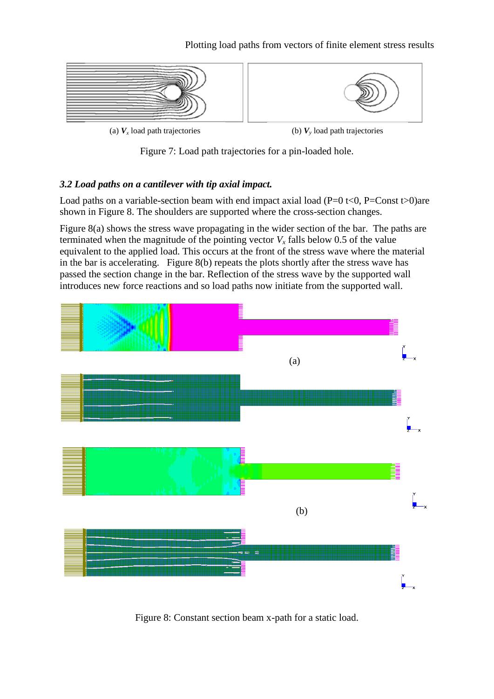

(a)  $V_x$  load path trajectories (b)  $V_y$ 

(b)  $V<sub>v</sub>$  load path trajectories

Figure 7: Load path trajectories for a pin-loaded hole.

# <span id="page-7-0"></span>*3.2 Load paths on a cantilever with tip axial impact.*

Load paths on a variable-section beam with end impact axial load (P=0 t<0, P=Const t>0)are shown in Figure 8. The shoulders are supported where the cross-section changes.

Figure 8(a) shows the stress wave propagating in the wider section of the bar. The paths are terminated when the magnitude of the pointing vector  $V<sub>x</sub>$  falls below 0.5 of the value equivalent to the applied load. This occurs at the front of the stress wave where the material in the bar is accelerating. Figure 8(b) repeats the plots shortly after the stress wave has passed the section change in the bar. Reflection of the stress wave by the supported wall introduces new force reactions and so load paths now initiate from the supported wall.



Figure 8: Constant section beam x-path for a static load.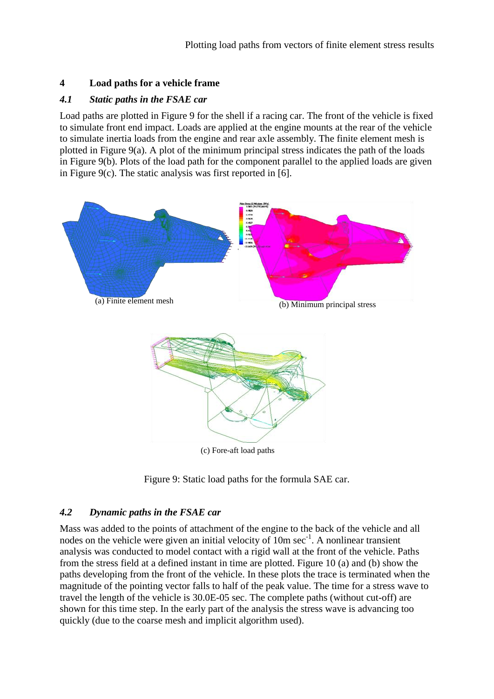### **4 Load paths for a vehicle frame**

### *4.1 Static paths in the FSAE car*

Load paths are plotted in Figure 9 for the shell if a racing car. The front of the vehicle is fixed to simulate front end impact. Loads are applied at the engine mounts at the rear of the vehicle to simulate inertia loads from the engine and rear axle assembly. The finite element mesh is plotted in Figure 9(a). A plot of the minimum principal stress indicates the path of the loads in Figure 9(b). Plots of the load path for the component parallel to the applied loads are given in Figure 9(c). The static analysis was first reported in  $[6]$ .



(c) Fore-aft load paths

## *4.2 Dynamic paths in the FSAE car*

Mass was added to the points of attachment of the engine to the back of the vehicle and all nodes on the vehicle were given an initial velocity of  $10m \sec^{-1}$ . A nonlinear transient analysis was conducted to model contact with a rigid wall at the front of the vehicle. Paths from the stress field at a defined instant in time are plotted. Figure 10 (a) and (b) show the paths developing from the front of the vehicle. In these plots the trace is terminated when the magnitude of the pointing vector falls to half of the peak value. The time for a stress wave to travel the length of the vehicle is 30.0E-05 sec. The complete paths (without cut-off) are shown for this time step. In the early part of the analysis the stress wave is advancing too quickly (due to the coarse mesh and implicit algorithm used).

Figure 9: Static load paths for the formula SAE car.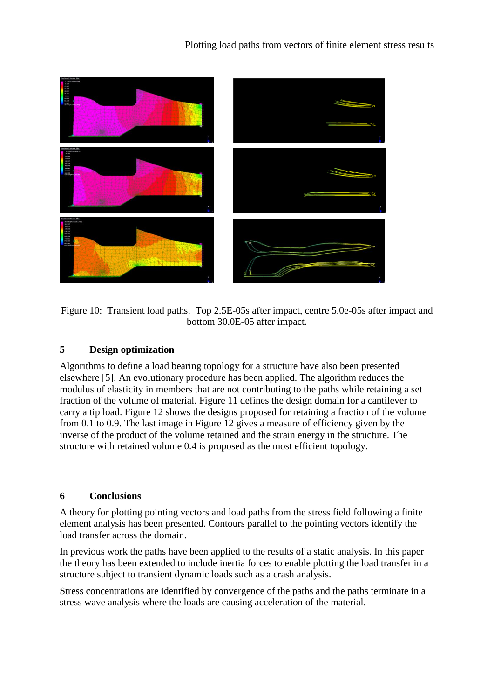

Figure 10: Transient load paths. Top 2.5E-05s after impact, centre 5.0e-05s after impact and bottom 30.0E-05 after impact.

### **5 Design optimization**

Algorithms to define a load bearing topology for a structure have also been presented elsewhere [5]. An evolutionary procedure has been applied. The algorithm reduces the modulus of elasticity in members that are not contributing to the paths while retaining a set fraction of the volume of material. Figure 11 defines the design domain for a cantilever to carry a tip load. Figure 12 shows the designs proposed for retaining a fraction of the volume from 0.1 to 0.9. The last image in Figure 12 gives a measure of efficiency given by the inverse of the product of the volume retained and the strain energy in the structure. The structure with retained volume 0.4 is proposed as the most efficient topology.

### **6 Conclusions**

A theory for plotting pointing vectors and load paths from the stress field following a finite element analysis has been presented. Contours parallel to the pointing vectors identify the load transfer across the domain.

In previous work the paths have been applied to the results of a static analysis. In this paper the theory has been extended to include inertia forces to enable plotting the load transfer in a structure subject to transient dynamic loads such as a crash analysis.

Stress concentrations are identified by convergence of the paths and the paths terminate in a stress wave analysis where the loads are causing acceleration of the material.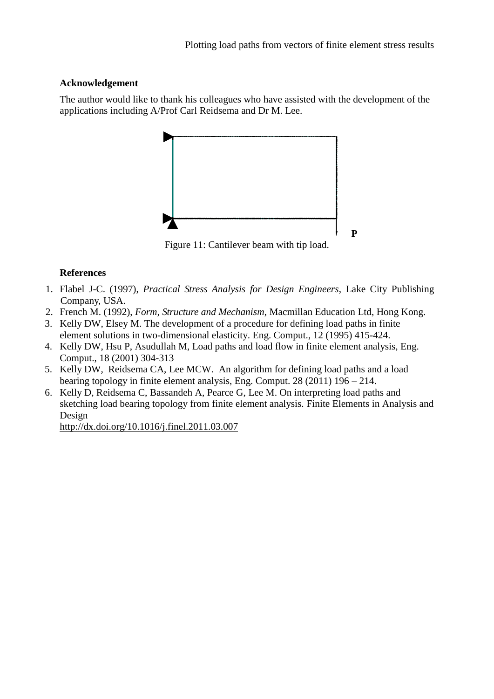### **Acknowledgement**

The author would like to thank his colleagues who have assisted with the development of the applications including A/Prof Carl Reidsema and Dr M. Lee.



Figure 11: Cantilever beam with tip load.

### **References**

- 1. Flabel J-C. (1997), *Practical Stress Analysis for Design Engineers*, Lake City Publishing Company, USA.
- 2. French M. (1992), *Form, Structure and Mechanism*, Macmillan Education Ltd, Hong Kong.
- 3. Kelly DW, Elsey M. The development of a procedure for defining load paths in finite element solutions in two-dimensional elasticity. Eng. Comput., 12 (1995) 415-424.
- 4. Kelly DW, Hsu P, Asudullah M, Load paths and load flow in finite element analysis, Eng. Comput., 18 (2001) 304-313
- 5. Kelly DW, Reidsema CA, Lee MCW. An algorithm for defining load paths and a load bearing topology in finite element analysis, Eng. Comput. 28 (2011) 196 – 214.
- 6. Kelly D, Reidsema C, Bassandeh A, Pearce G, Lee M. On interpreting load paths and sketching load bearing topology from finite element analysis. Finite Elements in Analysis and Design

[http://dx.doi.org/10.1016/j.finel.2011.03.007](https://mail.unsw.edu.au/owa/redir.aspx?C=7951967ce55d4a4d913efaedfcc8ffda&URL=http%3a%2f%2fdx.doi.org%2f10.1016%2fj.finel.2011.03.007)